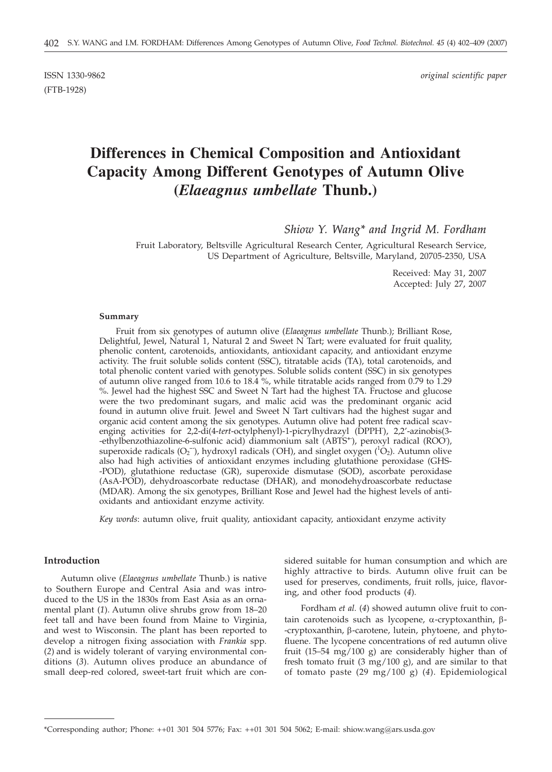(FTB-1928)

ISSN 1330-9862 *original scientific paper*

# **Differences in Chemical Composition and Antioxidant Capacity Among Different Genotypes of Autumn Olive (***Elaeagnus umbellate* **Thunb.)**

# *Shiow Y. Wang\* and Ingrid M. Fordham*

Fruit Laboratory, Beltsville Agricultural Research Center, Agricultural Research Service, US Department of Agriculture, Beltsville, Maryland, 20705-2350, USA

> Received: May 31, 2007 Accepted: July 27, 2007

#### **Summary**

Fruit from six genotypes of autumn olive (*Elaeagnus umbellate* Thunb.); Brilliant Rose, Delightful, Jewel, Natural 1, Natural 2 and Sweet N Tart; were evaluated for fruit quality, phenolic content, carotenoids, antioxidants, antioxidant capacity, and antioxidant enzyme activity. The fruit soluble solids content (SSC), titratable acids (TA), total carotenoids, and total phenolic content varied with genotypes. Soluble solids content (SSC) in six genotypes of autumn olive ranged from 10.6 to 18.4 %, while titratable acids ranged from 0.79 to 1.29 %. Jewel had the highest SSC and Sweet N Tart had the highest TA. Fructose and glucose were the two predominant sugars, and malic acid was the predominant organic acid found in autumn olive fruit. Jewel and Sweet N Tart cultivars had the highest sugar and organic acid content among the six genotypes. Autumn olive had potent free radical scavenging activities for 2,2-di(4-*tert*-octylphenyl)-1-picrylhydrazyl (DPPH**·** ), 2,2'-azinobis(3- -ethylbenzothiazoline-6-sulfonic acid) diammonium salt (ABTS**+·**), peroxyl radical (ROO**·** ), superoxide radicals (O<sub>2</sub><sup>--</sup>), hydroxyl radicals (OH), and singlet oxygen (<sup>1</sup>O<sub>2</sub>). Autumn olive also had high activities of antioxidant enzymes including glutathione peroxidase (GHS- -POD), glutathione reductase (GR), superoxide dismutase (SOD), ascorbate peroxidase (AsA-POD), dehydroascorbate reductase (DHAR), and monodehydroascorbate reductase (MDAR). Among the six genotypes, Brilliant Rose and Jewel had the highest levels of antioxidants and antioxidant enzyme activity.

*Key words*: autumn olive, fruit quality, antioxidant capacity, antioxidant enzyme activity

## **Introduction**

Autumn olive (*Elaeagnus umbellate* Thunb.) is native to Southern Europe and Central Asia and was introduced to the US in the 1830s from East Asia as an ornamental plant (*1*). Autumn olive shrubs grow from 18–20 feet tall and have been found from Maine to Virginia, and west to Wisconsin. The plant has been reported to develop a nitrogen fixing association with *Frankia* spp*.* (*2*) and is widely tolerant of varying environmental conditions (*3*). Autumn olives produce an abundance of small deep-red colored, sweet-tart fruit which are considered suitable for human consumption and which are highly attractive to birds. Autumn olive fruit can be used for preserves, condiments, fruit rolls, juice, flavoring, and other food products (*4*).

Fordham *et al.* (*4*) showed autumn olive fruit to contain carotenoids such as lycopene,  $\alpha$ -cryptoxanthin,  $\beta$ --cryptoxanthin, b-carotene, lutein, phytoene, and phytofluene. The lycopene concentrations of red autumn olive fruit (15–54 mg/100 g) are considerably higher than of fresh tomato fruit (3 mg/100 g), and are similar to that of tomato paste (29 mg/100 g) (*4*). Epidemiological

<sup>\*</sup>Corresponding author; Phone:  $++01$  301 504 5776; Fax:  $++01$  301 504 5062; E-mail: shiow.wang@ars.usda.gov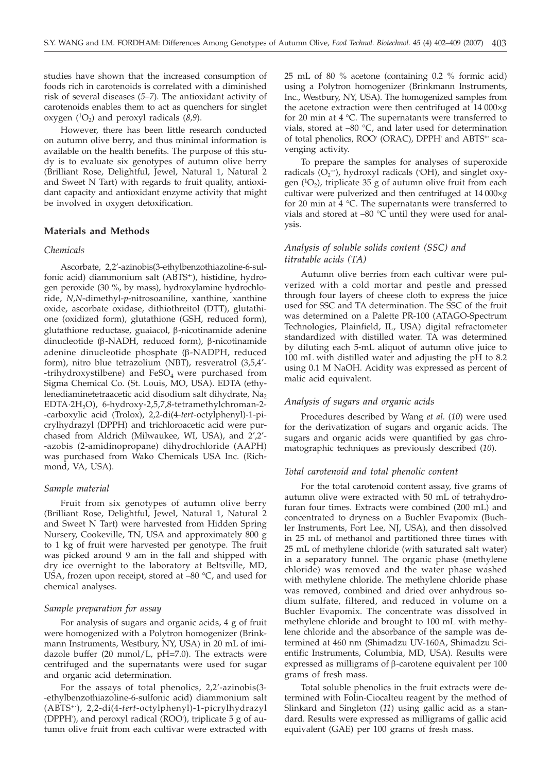studies have shown that the increased consumption of foods rich in carotenoids is correlated with a diminished risk of several diseases (*5–7*). The antioxidant activity of carotenoids enables them to act as quenchers for singlet oxygen  $(^1O_2)$  and peroxyl radicals  $(8,9)$ .

However, there has been little research conducted on autumn olive berry, and thus minimal information is available on the health benefits. The purpose of this study is to evaluate six genotypes of autumn olive berry (Brilliant Rose, Delightful, Jewel, Natural 1, Natural 2 and Sweet N Tart) with regards to fruit quality, antioxidant capacity and antioxidant enzyme activity that might be involved in oxygen detoxification.

# **Materials and Methods**

### *Chemicals*

Ascorbate, 2,2'-azinobis(3-ethylbenzothiazoline-6-sulfonic acid) diammonium salt (ABTS**+·**), histidine, hydrogen peroxide (30 %, by mass), hydroxylamine hydrochloride, *N,N*-dimethyl-*p*-nitrosoaniline, xanthine, xanthine oxide, ascorbate oxidase, dithiothreitol (DTT), glutathione (oxidized form), glutathione (GSH, reduced form), glutathione reductase, guaiacol, b-nicotinamide adenine dinucleotide ( $\beta$ -NADH, reduced form),  $\beta$ -nicotinamide adenine dinucleotide phosphate (b-NADPH, reduced form), nitro blue tetrazolium (NBT), resveratrol (3,5,4'- -trihydroxystilbene) and  $FeSO<sub>4</sub>$  were purchased from Sigma Chemical Co. (St. Louis, MO, USA). EDTA (ethylenediaminetetraacetic acid disodium salt dihydrate, Na2 EDTA·2H2O), 6-hydroxy-2,5,7,8-tetramethylchroman-2- -carboxylic acid (Trolox), 2,2-di(4-*tert*-octylphenyl)-1-picrylhydrazyl (DPPH) and trichloroacetic acid were purchased from Aldrich (Milwaukee, WI, USA), and 2',2'- -azobis (2-amidinopropane) dihydrochloride (AAPH) was purchased from Wako Chemicals USA Inc. (Richmond, VA, USA).

#### *Sample material*

Fruit from six genotypes of autumn olive berry (Brilliant Rose, Delightful, Jewel, Natural 1, Natural 2 and Sweet N Tart) were harvested from Hidden Spring Nursery, Cookeville, TN, USA and approximately 800 g to 1 kg of fruit were harvested per genotype. The fruit was picked around 9 am in the fall and shipped with dry ice overnight to the laboratory at Beltsville, MD, USA, frozen upon receipt, stored at –80 °C, and used for chemical analyses.

#### *Sample preparation for assay*

For analysis of sugars and organic acids, 4 g of fruit were homogenized with a Polytron homogenizer (Brinkmann Instruments, Westbury, NY, USA) in 20 mL of imidazole buffer (20 mmol/L,  $pH=7.0$ ). The extracts were centrifuged and the supernatants were used for sugar and organic acid determination.

For the assays of total phenolics, 2,2'-azinobis(3- -ethylbenzothiazoline-6-sulfonic acid) diammonium salt (ABTS**+·**), 2,2-di(4-*tert*-octylphenyl)-1-picrylhydrazyl (DPPH**·** ), and peroxyl radical (ROO**·** ), triplicate 5 g of autumn olive fruit from each cultivar were extracted with

25 mL of 80 % acetone (containing 0.2 % formic acid) using a Polytron homogenizer (Brinkmann Instruments, Inc., Westbury, NY, USA). The homogenized samples from the acetone extraction were then centrifuged at 14 000×*g* for 20 min at 4 °C. The supernatants were transferred to vials, stored at –80 °C, and later used for determination of total phenolics, ROO**·** (ORAC), DPPH**·** and ABTS**+·** scavenging activity.

To prepare the samples for analyses of superoxide radicals (O<sub>2</sub><sup>--</sup>), hydroxyl radicals (OH), and singlet oxygen  $(1O<sub>2</sub>)$ , triplicate 35 g of autumn olive fruit from each cultivar were pulverized and then centrifuged at 14 000×*g* for 20 min at 4 °C. The supernatants were transferred to vials and stored at  $-80$  °C until they were used for analysis.

# *Analysis of soluble solids content (SSC) and titratable acids (TA)*

Autumn olive berries from each cultivar were pulverized with a cold mortar and pestle and pressed through four layers of cheese cloth to express the juice used for SSC and TA determination. The SSC of the fruit was determined on a Palette PR-100 (ATAGO-Spectrum Technologies, Plainfield, IL, USA) digital refractometer standardized with distilled water. TA was determined by diluting each 5-mL aliquot of autumn olive juice to 100 mL with distilled water and adjusting the pH to 8.2 using 0.1 M NaOH. Acidity was expressed as percent of malic acid equivalent.

#### *Analysis of sugars and organic acids*

Procedures described by Wang *et al.* (*10*) were used for the derivatization of sugars and organic acids. The sugars and organic acids were quantified by gas chromatographic techniques as previously described (*10*).

# *Total carotenoid and total phenolic content*

For the total carotenoid content assay, five grams of autumn olive were extracted with 50 mL of tetrahydrofuran four times. Extracts were combined (200 mL) and concentrated to dryness on a Buchler Evapomix (Buchler Instruments, Fort Lee, NJ, USA), and then dissolved in 25 mL of methanol and partitioned three times with 25 mL of methylene chloride (with saturated salt water) in a separatory funnel. The organic phase (methylene chloride) was removed and the water phase washed with methylene chloride. The methylene chloride phase was removed, combined and dried over anhydrous sodium sulfate, filtered, and reduced in volume on a Buchler Evapomix. The concentrate was dissolved in methylene chloride and brought to 100 mL with methylene chloride and the absorbance of the sample was determined at 460 nm (Shimadzu UV-160A, Shimadzu Scientific Instruments, Columbia, MD, USA). Results were expressed as milligrams of  $\beta$ -carotene equivalent per 100 grams of fresh mass.

Total soluble phenolics in the fruit extracts were determined with Folin-Ciocalteu reagent by the method of Slinkard and Singleton (*11*) using gallic acid as a standard. Results were expressed as milligrams of gallic acid equivalent (GAE) per 100 grams of fresh mass.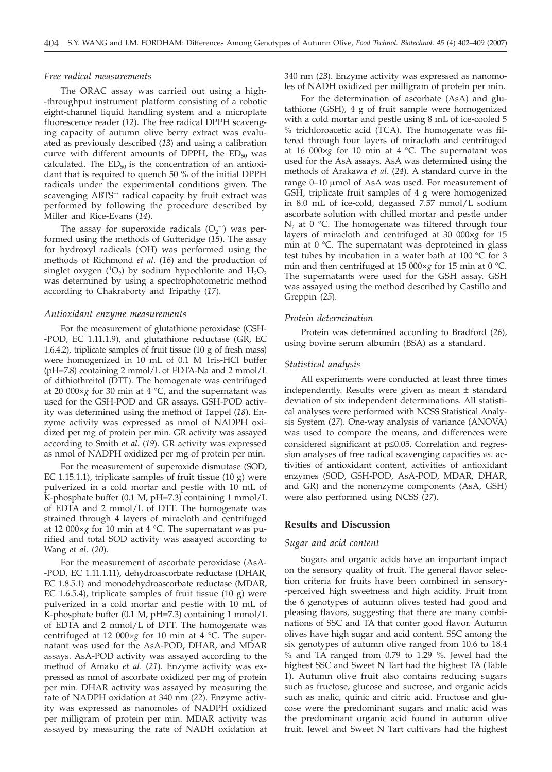#### *Free radical measurements*

The ORAC assay was carried out using a high- -throughput instrument platform consisting of a robotic eight-channel liquid handling system and a microplate fluorescence reader (*12*). The free radical DPPH scavenging capacity of autumn olive berry extract was evaluated as previously described (*13*) and using a calibration curve with different amounts of DPPH, the  $ED_{50}$  was calculated. The  $ED_{50}$  is the concentration of an antioxidant that is required to quench 50 % of the initial DPPH radicals under the experimental conditions given. The scavenging ABTS<sup>+</sup> radical capacity by fruit extract was performed by following the procedure described by Miller and Rice-Evans (*14*).

The assay for superoxide radicals (O<sub>2</sub><sup>--</sup>) was performed using the methods of Gutteridge (*15*). The assay for hydroxyl radicals (**·** OH) was performed using the methods of Richmond *et al*. (*16*) and the production of singlet oxygen  $(^1O_2)$  by sodium hypochlorite and  $H_2O_2$ was determined by using a spectrophotometric method according to Chakraborty and Tripathy (*17*).

#### *Antioxidant enzyme measurements*

For the measurement of glutathione peroxidase (GSH- -POD, EC 1.11.1.9), and glutathione reductase (GR, EC 1.6.4.2), triplicate samples of fruit tissue (10 g of fresh mass) were homogenized in 10 mL of 0.1 M Tris-HCl buffer (pH=7.8) containing 2 mmol/L of EDTA-Na and 2 mmol/L of dithiothreitol (DTT). The homogenate was centrifuged at 20 000×*g* for 30 min at 4 °C, and the supernatant was used for the GSH-POD and GR assays. GSH-POD activity was determined using the method of Tappel (*18*). Enzyme activity was expressed as nmol of NADPH oxidized per mg of protein per min. GR activity was assayed according to Smith *et al*. (*19*). GR activity was expressed as nmol of NADPH oxidized per mg of protein per min.

For the measurement of superoxide dismutase (SOD, EC 1.15.1.1), triplicate samples of fruit tissue (10 g) were pulverized in a cold mortar and pestle with 10 mL of K-phosphate buffer (0.1 M, pH=7.3) containing 1 mmol/L of EDTA and 2 mmol/L of DTT. The homogenate was strained through 4 layers of miracloth and centrifuged at 12 000×*g* for 10 min at 4 °C. The supernatant was purified and total SOD activity was assayed according to Wang *et al*. (*20*).

For the measurement of ascorbate peroxidase (AsA- -POD, EC 1.11.1.11), dehydroascorbate reductase (DHAR, EC 1.8.5.1) and monodehydroascorbate reductase (MDAR, EC 1.6.5.4), triplicate samples of fruit tissue (10 g) were pulverized in a cold mortar and pestle with 10 mL of K-phosphate buffer (0.1 M, pH=7.3) containing 1 mmol/L of EDTA and 2 mmol/L of DTT. The homogenate was centrifuged at 12 000×*g* for 10 min at 4 °C. The supernatant was used for the AsA-POD, DHAR, and MDAR assays. AsA-POD activity was assayed according to the method of Amako *et al*. (*21*). Enzyme activity was expressed as nmol of ascorbate oxidized per mg of protein per min. DHAR activity was assayed by measuring the rate of NADPH oxidation at 340 nm (*22*). Enzyme activity was expressed as nanomoles of NADPH oxidized per milligram of protein per min. MDAR activity was assayed by measuring the rate of NADH oxidation at 340 nm (*23*). Enzyme activity was expressed as nanomoles of NADH oxidized per milligram of protein per min.

For the determination of ascorbate (AsA) and glutathione (GSH), 4 g of fruit sample were homogenized with a cold mortar and pestle using 8 mL of ice-cooled 5 % trichloroacetic acid (TCA). The homogenate was filtered through four layers of miracloth and centrifuged at 16 000×*g* for 10 min at 4 °C. The supernatant was used for the AsA assays. AsA was determined using the methods of Arakawa *et al*. (*24*). A standard curve in the range  $0-10$  µmol of AsA was used. For measurement of GSH, triplicate fruit samples of 4 g were homogenized in 8.0 mL of ice-cold, degassed 7.57 mmol/L sodium ascorbate solution with chilled mortar and pestle under  $N_2$  at 0 °C. The homogenate was filtered through four layers of miracloth and centrifuged at 30 000×*g* for 15 min at 0 °C. The supernatant was deproteined in glass test tubes by incubation in a water bath at 100 °C for 3 min and then centrifuged at 15 000×*g* for 15 min at 0 °C. The supernatants were used for the GSH assay. GSH was assayed using the method described by Castillo and Greppin (*25*).

#### *Protein determination*

Protein was determined according to Bradford (*26*), using bovine serum albumin (BSA) as a standard.

# *Statistical analysis*

All experiments were conducted at least three times independently. Results were given as mean  $\pm$  standard deviation of six independent determinations. All statistical analyses were performed with NCSS Statistical Analysis System (*27*). One-way analysis of variance (ANOVA) was used to compare the means, and differences were considered significant at  $p \leq 0.05$ . Correlation and regression analyses of free radical scavenging capacities *vs.* activities of antioxidant content, activities of antioxidant enzymes (SOD, GSH-POD, AsA-POD, MDAR, DHAR, and GR) and the nonenzyme components (AsA, GSH) were also performed using NCSS (*27*).

# **Results and Discussion**

#### *Sugar and acid content*

Sugars and organic acids have an important impact on the sensory quality of fruit. The general flavor selection criteria for fruits have been combined in sensory- -perceived high sweetness and high acidity. Fruit from the 6 genotypes of autumn olives tested had good and pleasing flavors, suggesting that there are many combinations of SSC and TA that confer good flavor. Autumn olives have high sugar and acid content. SSC among the six genotypes of autumn olive ranged from 10.6 to 18.4 % and TA ranged from 0.79 to 1.29 %. Jewel had the highest SSC and Sweet N Tart had the highest TA (Table 1). Autumn olive fruit also contains reducing sugars such as fructose, glucose and sucrose, and organic acids such as malic, quinic and citric acid. Fructose and glucose were the predominant sugars and malic acid was the predominant organic acid found in autumn olive fruit. Jewel and Sweet N Tart cultivars had the highest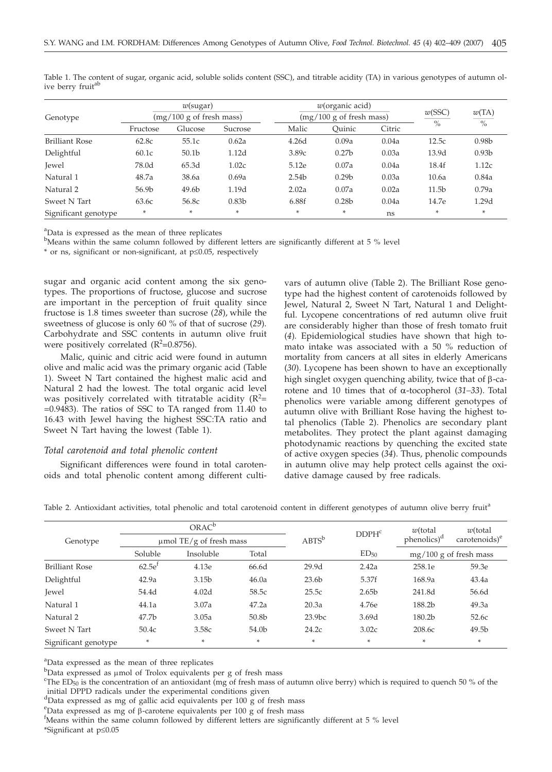|                       | $w$ (sugar)<br>$(mg/100 g)$ of fresh mass) |                   |                   |       | $w($ organic acid $)$    | w(SSC) | w(TA)             |                   |
|-----------------------|--------------------------------------------|-------------------|-------------------|-------|--------------------------|--------|-------------------|-------------------|
| Genotype              |                                            |                   |                   |       | (mg/100 g of fresh mass) |        |                   |                   |
|                       | Fructose                                   | Glucose           | Sucrose           | Malic | Ouinic                   | Citric | $\%$              | $\%$              |
| <b>Brilliant Rose</b> | 62.8c                                      | 55.1c             | 0.62a             | 4.26d | 0.09a                    | 0.04a  | 12.5c             | 0.98 <sub>b</sub> |
| Delightful            | 60.1c                                      | 50.1 <sub>b</sub> | 1.12d             | 3.89c | 0.27 <sub>b</sub>        | 0.03a  | 13.9d             | 0.93 <sub>b</sub> |
| <b>Jewel</b>          | 78.0d                                      | 65.3d             | 1.02c             | 5.12e | 0.07a                    | 0.04a  | 18.4f             | 1.12c             |
| Natural 1             | 48.7a                                      | 38.6a             | 0.69a             | 2.54b | 0.29 <sub>b</sub>        | 0.03a  | 10.6a             | 0.84a             |
| Natural 2             | 56.9b                                      | 49.6 <sub>b</sub> | 1.19d             | 2.02a | 0.07a                    | 0.02a  | 11.5 <sub>b</sub> | 0.79a             |
| Sweet N Tart          | 63.6с                                      | 56.8c             | 0.83 <sub>b</sub> | 6.88f | 0.28 <sub>b</sub>        | 0.04a  | 14.7e             | 1.29d             |
| Significant genotype  | *                                          | $*$               | *                 | ×     | ÷                        | ns     | ×                 | ×                 |

Table 1. The content of sugar, organic acid, soluble solids content (SSC), and titrable acidity (TA) in various genotypes of autumn olive berry fruit<sup>at</sup>

<sup>a</sup>Data is expressed as the mean of three replicates

<sup>b</sup>Means within the same column followed by different letters are significantly different at 5 % level

 $*$  or ns, significant or non-significant, at  $p \le 0.05$ , respectively

sugar and organic acid content among the six genotypes. The proportions of fructose, glucose and sucrose are important in the perception of fruit quality since fructose is 1.8 times sweeter than sucrose (*28*), while the sweetness of glucose is only 60 % of that of sucrose (*29*). Carbohydrate and SSC contents in autumn olive fruit were positively correlated (R<sup>2</sup>=0.8756).

Malic, quinic and citric acid were found in autumn olive and malic acid was the primary organic acid (Table 1). Sweet N Tart contained the highest malic acid and Natural 2 had the lowest. The total organic acid level was positively correlated with titratable acidity ( $R^2$ = =0.9483). The ratios of SSC to TA ranged from 11.40 to 16.43 with Jewel having the highest SSC:TA ratio and Sweet N Tart having the lowest (Table 1).

# *Total carotenoid and total phenolic content*

Significant differences were found in total carotenoids and total phenolic content among different culti-

vars of autumn olive (Table 2). The Brilliant Rose genotype had the highest content of carotenoids followed by Jewel, Natural 2, Sweet N Tart, Natural 1 and Delightful. Lycopene concentrations of red autumn olive fruit are considerably higher than those of fresh tomato fruit (*4*)*.* Epidemiological studies have shown that high tomato intake was associated with a 50 % reduction of mortality from cancers at all sites in elderly Americans (*30*). Lycopene has been shown to have an exceptionally high singlet oxygen quenching ability, twice that of  $\beta$ -carotene and 10 times that of a-tocopherol (*31–33*). Total phenolics were variable among different genotypes of autumn olive with Brilliant Rose having the highest total phenolics (Table 2). Phenolics are secondary plant metabolites. They protect the plant against damaging photodynamic reactions by quenching the excited state of active oxygen species (*34*). Thus, phenolic compounds in autumn olive may help protect cells against the oxidative damage caused by free radicals.

|  | Table 2. Antioxidant activities, total phenolic and total carotenoid content in different genotypes of autumn olive berry fruit <sup>a</sup> |  |
|--|----------------------------------------------------------------------------------------------------------------------------------------------|--|
|--|----------------------------------------------------------------------------------------------------------------------------------------------|--|

|                       | $ORAC^b$<br>$\mu$ mol TE/g of fresh mass |                   |        | $ABTS^b$           | DDPH <sup>c</sup> | $w$ (total<br>phenolics) <sup>d</sup> | $w$ (total<br>carotenoids) <sup>e</sup> |
|-----------------------|------------------------------------------|-------------------|--------|--------------------|-------------------|---------------------------------------|-----------------------------------------|
| Genotype              |                                          |                   |        |                    |                   |                                       |                                         |
|                       | Soluble                                  | Insoluble         | Total  |                    | ED <sub>50</sub>  |                                       | $mg/100$ g of fresh mass                |
| <b>Brilliant Rose</b> | $62.5e^t$                                | 4.13e             | 66.6d  | 29.9d              | 2.42a             | 258.1e                                | 59.3e                                   |
| Delightful            | 42.9a                                    | 3.15 <sub>b</sub> | 46.0a  | 23.6 <sub>b</sub>  | 5.37f             | 168.9a                                | 43.4a                                   |
| <b>Jewel</b>          | 54.4d                                    | 4.02d             | 58.5c  | 25.5c              | 2.65 <sub>b</sub> | 241.8d                                | 56.6d                                   |
| Natural 1             | 44.1a                                    | 3.07a             | 47.2a  | 20.3a              | 4.76e             | 188.2b                                | 49.3a                                   |
| Natural 2             | 47.7 <sub>b</sub>                        | 3.05a             | 50.8b  | 23.9 <sub>bc</sub> | 3.69d             | 180.2b                                | 52.6c                                   |
| Sweet N Tart          | 50.4c                                    | 3.58c             | 54.0b  | 24.2c              | 3.02c             | 208.6c                                | 49.5 <sub>b</sub>                       |
| Significant genotype  | ×                                        | *                 | $\ast$ | *                  | $\ast$            | ×                                     | ÷                                       |

<sup>a</sup>Data expressed as the mean of three replicates

 $b_{\text{Data}}$  expressed as µmol of Trolox equivalents per g of fresh mass

- <sup>d</sup>Data expressed as mg of gallic acid equivalents per 100 g of fresh mass
- <sup>e</sup>Data expressed as mg of  $\beta$ -carotene equivalents per 100 g of fresh mass  $f_{\text{Morse}}$  within the came column followed by different letters are significant

 $M$ eans within the same column followed by different letters are significantly different at 5 % level \*Significant at  $p \leq 0.05$ 

<sup>&</sup>lt;sup>c</sup>The ED<sub>50</sub> is the concentration of an antioxidant (mg of fresh mass of autumn olive berry) which is required to quench 50 % of the initial DPPD radicals under the experimental conditions given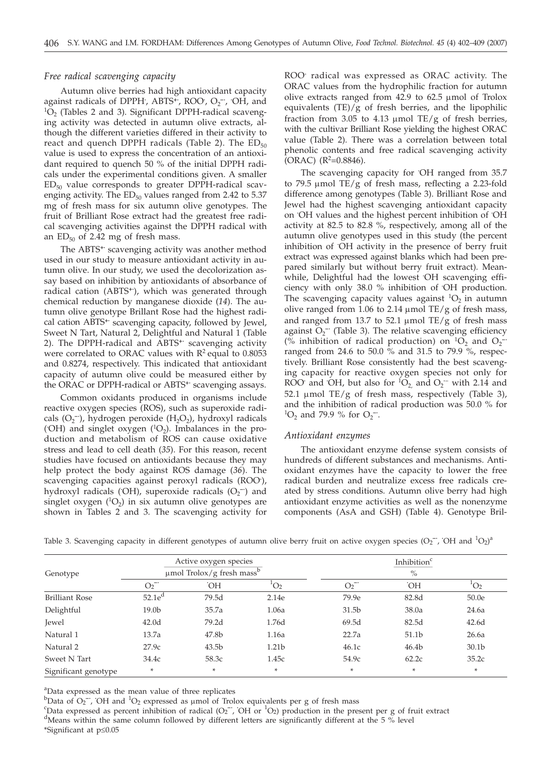## *Free radical scavenging capacity*

Autumn olive berries had high antioxidant capacity against radicals of DPPH, ABTS<sup>+</sup>, ROO, O<sub>2</sub><sup>-</sup>, OH, and  ${}^{1}O_{2}$  (Tables 2 and 3). Significant DPPH-radical scavenging activity was detected in autumn olive extracts, although the different varieties differed in their activity to react and quench DPPH radicals (Table 2). The  $ED_{50}$ value is used to express the concentration of an antioxidant required to quench 50 % of the initial DPPH radicals under the experimental conditions given. A smaller  $ED_{50}$  value corresponds to greater DPPH-radical scavenging activity. The  $ED_{50}$  values ranged from 2.42 to 5.37 mg of fresh mass for six autumn olive genotypes. The fruit of Brilliant Rose extract had the greatest free radical scavenging activities against the DPPH radical with an  $ED_{50}$  of 2.42 mg of fresh mass.

The ABTS<sup>+</sup> scavenging activity was another method used in our study to measure antioxidant activity in autumn olive. In our study, we used the decolorization assay based on inhibition by antioxidants of absorbance of radical cation (ABTS<sup>+</sup>), which was generated through chemical reduction by manganese dioxide (*14*). The autumn olive genotype Brillant Rose had the highest radical cation ABTS**+·** scavenging capacity, followed by Jewel, Sweet N Tart, Natural 2, Delightful and Natural 1 (Table 2). The DPPH-radical and ABTS**+·** scavenging activity were correlated to ORAC values with  $R^2$  equal to 0.8053 and 0.8274, respectively. This indicated that antioxidant capacity of autumn olive could be measured either by the ORAC or DPPH-radical or ABTS**+·** scavenging assays.

Common oxidants produced in organisms include reactive oxygen species (ROS), such as superoxide radicals (O<sub>2</sub><sup>--</sup>), hydrogen peroxide (H<sub>2</sub>O<sub>2</sub>), hydroxyl radicals (OH) and singlet oxygen  $(^1O_2)$ . Imbalances in the production and metabolism of ROS can cause oxidative stress and lead to cell death (*35*). For this reason, recent studies have focused on antioxidants because they may help protect the body against ROS damage (*36*). The scavenging capacities against peroxyl radicals (ROO**·** ), hydroxyl radicals (OH), superoxide radicals (O<sub>2</sub><sup>--</sup>) and singlet oxygen  $(1O<sub>2</sub>)$  in six autumn olive genotypes are shown in Tables 2 and 3. The scavenging activity for

ROO**·** radical was expressed as ORAC activity. The ORAC values from the hydrophilic fraction for autumn olive extracts ranged from  $42.9$  to  $62.5 \mu$ mol of Trolox equivalents  $(TE)/g$  of fresh berries, and the lipophilic fraction from 3.05 to 4.13  $\mu$ mol TE/g of fresh berries, with the cultivar Brilliant Rose yielding the highest ORAC value (Table 2). There was a correlation between total phenolic contents and free radical scavenging activity (ORAC)  $(R^2=0.8846)$ .

The scavenging capacity for OH ranged from 35.7 to 79.5  $\mu$ mol TE/g of fresh mass, reflecting a 2.23-fold difference among genotypes (Table 3). Brilliant Rose and Jewel had the highest scavenging antioxidant capacity on **·** OH values and the highest percent inhibition of **·** OH activity at 82.5 to 82.8 %, respectively, among all of the autumn olive genotypes used in this study (the percent inhibition of **·** OH activity in the presence of berry fruit extract was expressed against blanks which had been prepared similarly but without berry fruit extract). Meanwhile, Delightful had the lowest OH scavenging efficiency with only 38.0 % inhibition of **·** OH production. The scavenging capacity values against  ${}^{1}O_{2}$  in autumn olive ranged from 1.06 to 2.14  $\mu$ mol TE/g of fresh mass, and ranged from 13.7 to 52.1  $\mu$ mol TE/g of fresh mass against O<sub>2</sub><sup>-</sup> (Table 3). The relative scavenging efficiency (% inhibition of radical production) on  ${}^{1}O_{2}$  and  $O_{2}^$ ranged from 24.6 to 50.0 % and 31.5 to 79.9 %, respectively. Brilliant Rose consistently had the best scavenging capacity for reactive oxygen species not only for ROO<sup>*·*</sup> and `OH, but also for <sup>1</sup>O<sub>2,</sub> and O<sub>2</sub><sup> $-$ </sup> with 2.14 and 52.1  $\mu$ mol TE/g of fresh mass, respectively (Table 3), and the inhibition of radical production was 50.0 % for  ${}^{1}O_{2}$  and 79.9 % for  $O_{2}$ <sup>--</sup>.

#### *Antioxidant enzymes*

The antioxidant enzyme defense system consists of hundreds of different substances and mechanisms. Antioxidant enzymes have the capacity to lower the free radical burden and neutralize excess free radicals created by stress conditions. Autumn olive berry had high antioxidant enzyme activities as well as the nonenzyme components (AsA and GSH) (Table 4). Genotype Bril-

|                       |                   | Active oxygen species                      |                   | Inhibition <sup>c</sup> |                   |                   |  |  |
|-----------------------|-------------------|--------------------------------------------|-------------------|-------------------------|-------------------|-------------------|--|--|
| Genotype              |                   | $\mu$ mol Trolox/g fresh mass <sup>b</sup> |                   |                         | $\%$              |                   |  |  |
|                       | $O_2^-$           | .ОH                                        | $^{1}O_{2}$       | $O_2$ <sup>--</sup>     | ЮH                | $^{1}O_{2}$       |  |  |
| <b>Brilliant Rose</b> | $52.1e^d$         | 79.5d                                      | 2.14e             | 79.9e                   | 82.8d             | 50.0e             |  |  |
| Delightful            | 19.0 <sub>b</sub> | 35.7a                                      | 1.06a             | 31.5 <sub>b</sub>       | 38.0a             | 24.6a             |  |  |
| Jewel                 | 42.0 <sub>d</sub> | 79.2d                                      | 1.76d             | 69.5d                   | 82.5d             | 42.6d             |  |  |
| Natural 1             | 13.7a             | 47.8b                                      | 1.16a             | 22.7a                   | 51.1 <sub>b</sub> | 26.6a             |  |  |
| Natural 2             | 27.9c             | 43.5 <sub>b</sub>                          | 1.21 <sub>b</sub> | 46.1c                   | 46.4 <sub>b</sub> | 30.1 <sub>b</sub> |  |  |
| Sweet N Tart          | 34.4c             | 58.3c                                      | 1.45c             | 54.9c                   | 62.2c             | 35.2c             |  |  |
| Significant genotype  | *                 | ×                                          | ×                 | *                       | *                 | ×                 |  |  |

Table 3. Scavenging capacity in different genotypes of autumn olive berry fruit on active oxygen species (O2  $\ddot$  , OH and  $^1$ O2) $^a$ 

<sup>a</sup>Data expressed as the mean value of three replicates

 ${}^{\text{b}}$ Data of O<sub>2</sub><sup>-</sup>, OH and <sup>1</sup>O<sub>2</sub> expressed as µmol of Trolox equivalents per g of fresh mass <sup>c</sup>Data expressed as persont inhibition of radical (O<sub>2</sub><sup>-</sup>, OH or <sup>1</sup>O<sub>2</sub>) production in the pro-

 ${}^{\text{c}}$ Data expressed as percent inhibition of radical (O<sub>2</sub><sup>-</sup>, OH or <sup>1</sup>O<sub>2</sub>) production in the present per g of fruit extract dependence within the came column followed by different letters are cignificantly differen <sup>d</sup>Means within the same column followed by different letters are significantly different at the 5 % level

<sup>\*</sup>Significant at  $p \leq 0.05$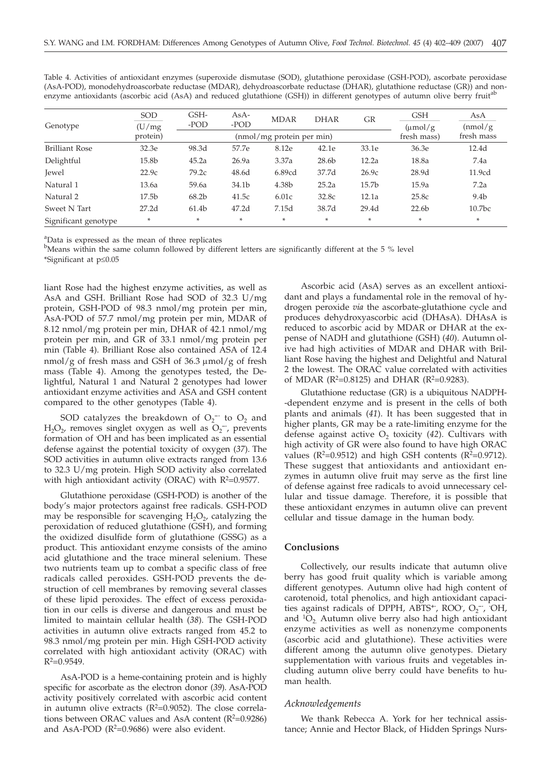|                       | <b>SOD</b><br>(U/mg)<br>protein) | GSH-  | $AsA-$                    | <b>MDAR</b> | <b>DHAR</b> | GR                | <b>GSH</b>           | AsA                |
|-----------------------|----------------------------------|-------|---------------------------|-------------|-------------|-------------------|----------------------|--------------------|
| Genotype              |                                  | -POD  | -POD                      |             |             |                   | $(\mu \text{mol}/g)$ | (mmol/g)           |
|                       |                                  |       | (nmol/mg protein per min) | fresh mass) | fresh mass  |                   |                      |                    |
| <b>Brilliant Rose</b> | 32.3e                            | 98.3d | 57.7e                     | 8.12e       | 42.1e       | 33.1e             | 36.3e                | 12.4d              |
| Delightful            | 15.8b                            | 45.2a | 26.9a                     | 3.37a       | 28.6b       | 12.2a             | 18.8a                | 7.4a               |
| <b>Jewel</b>          | 22.9c                            | 79.2c | 48.6d                     | 6.89cd      | 37.7d       | 26.9c             | 28.9d                | 11.9cd             |
| Natural 1             | 13.6a                            | 59.6a | 34.1b                     | 4.38b       | 25.2a       | 15.7 <sub>b</sub> | 15.9a                | 7.2a               |
| Natural 2             | 17.5 <sub>b</sub>                | 68.2b | 41.5c                     | 6.01c       | 32.8c       | 12.1a             | 25.8c                | 9.4 <sub>b</sub>   |
| Sweet N Tart          | 27.2d                            | 61.4b | 47.2d                     | 7.15d       | 38.7d       | 29.4d             | 22.6 <sub>b</sub>    | 10.7 <sub>bc</sub> |
| Significant genotype  | *                                | ÷     | $\ast$                    | ×.          | $\ast$      | $\ast$            | $\ast$               | ×                  |

Table 4. Activities of antioxidant enzymes (superoxide dismutase (SOD), glutathione peroxidase (GSH-POD), ascorbate peroxidase (AsA-POD), monodehydroascorbate reductase (MDAR), dehydroascorbate reductase (DHAR), glutathione reductase (GR)) and nonenzyme antioxidants (ascorbic acid (AsA) and reduced glutathione (GSH)) in different genotypes of autumn olive berry fruit<sup>ab</sup>

<sup>a</sup>Data is expressed as the mean of three replicates

<sup>b</sup>Means within the same column followed by different letters are significantly different at the 5 % level

\*Significant at  $p \leq 0.05$ 

liant Rose had the highest enzyme activities, as well as AsA and GSH. Brilliant Rose had SOD of 32.3 U/mg protein, GSH-POD of 98.3 nmol/mg protein per min, AsA-POD of 57.7 nmol/mg protein per min, MDAR of 8.12 nmol/mg protein per min, DHAR of 42.1 nmol/mg protein per min, and GR of 33.1 nmol/mg protein per min (Table 4). Brilliant Rose also contained ASA of 12.4 nmol/g of fresh mass and GSH of 36.3  $\mu$ mol/g of fresh mass (Table 4). Among the genotypes tested, the Delightful, Natural 1 and Natural 2 genotypes had lower antioxidant enzyme activities and ASA and GSH content compared to the other genotypes (Table 4).

SOD catalyzes the breakdown of  $O_2^-$  to  $O_2$  and H<sub>2</sub>O<sub>2</sub>, removes singlet oxygen as well as O<sub>2</sub><sup>-</sup>, prevents formation of OH and has been implicated as an essential defense against the potential toxicity of oxygen (*37*). The SOD activities in autumn olive extracts ranged from 13.6 to 32.3 U/mg protein. High SOD activity also correlated with high antioxidant activity (ORAC) with  $R^2$ =0.9577.

Glutathione peroxidase (GSH-POD) is another of the body's major protectors against free radicals. GSH-POD may be responsible for scavenging  $H_2O_2$ , catalyzing the peroxidation of reduced glutathione (GSH), and forming the oxidized disulfide form of glutathione (GSSG) as a product. This antioxidant enzyme consists of the amino acid glutathione and the trace mineral selenium. These two nutrients team up to combat a specific class of free radicals called peroxides. GSH-POD prevents the destruction of cell membranes by removing several classes of these lipid peroxides. The effect of excess peroxidation in our cells is diverse and dangerous and must be limited to maintain cellular health (*38*). The GSH-POD activities in autumn olive extracts ranged from 45.2 to 98.3 nmol/mg protein per min. High GSH-POD activity correlated with high antioxidant activity (ORAC) with  $R^2=0.9549$ .

AsA-POD is a heme-containing protein and is highly specific for ascorbate as the electron donor (*39*). AsA-POD activity positively correlated with ascorbic acid content in autumn olive extracts ( $R^2$ =0.9052). The close correlations between ORAC values and AsA content  $(R^2=0.9286)$ and AsA-POD ( $R^2$ =0.9686) were also evident.

Ascorbic acid (AsA) serves as an excellent antioxidant and plays a fundamental role in the removal of hydrogen peroxide *via* the ascorbate-glutathione cycle and produces dehydroxyascorbic acid (DHAsA). DHAsA is reduced to ascorbic acid by MDAR or DHAR at the expense of NADH and glutathione (GSH) (*40*). Autumn olive had high activities of MDAR and DHAR with Brilliant Rose having the highest and Delightful and Natural 2 the lowest. The ORAC value correlated with activities of MDAR ( $R^2=0.8125$ ) and DHAR ( $R^2=0.9283$ ).

Glutathione reductase (GR) is a ubiquitous NADPH- -dependent enzyme and is present in the cells of both plants and animals (*41*). It has been suggested that in higher plants, GR may be a rate-limiting enzyme for the defense against active O<sub>2</sub> toxicity (42). Cultivars with high activity of GR were also found to have high ORAC values ( $R^2$ =0.9512) and high GSH contents ( $R^2$ =0.9712). These suggest that antioxidants and antioxidant enzymes in autumn olive fruit may serve as the first line of defense against free radicals to avoid unnecessary cellular and tissue damage. Therefore, it is possible that these antioxidant enzymes in autumn olive can prevent cellular and tissue damage in the human body.

#### **Conclusions**

Collectively, our results indicate that autumn olive berry has good fruit quality which is variable among different genotypes. Autumn olive had high content of carotenoid, total phenolics, and high antioxidant capacities against radicals of DPPH, ABTS<sup>+</sup>, ROO, O<sub>2</sub><sup>-</sup>, OH, and  ${}^{1}O_{2}$ . Autumn olive berry also had high antioxidant enzyme activities as well as nonenzyme components (ascorbic acid and glutathione). These activities were different among the autumn olive genotypes. Dietary supplementation with various fruits and vegetables including autumn olive berry could have benefits to human health.

#### *Acknowledgements*

We thank Rebecca A. York for her technical assistance; Annie and Hector Black, of Hidden Springs Nurs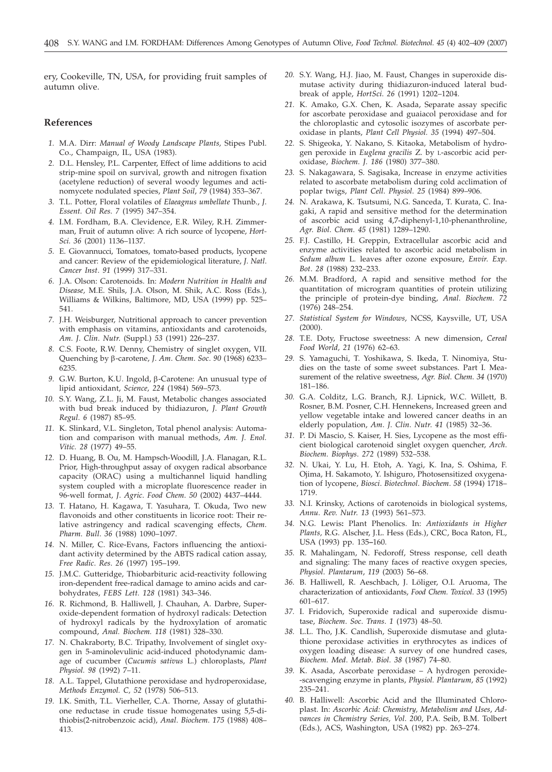ery, Cookeville, TN, USA, for providing fruit samples of autumn olive.

#### **References**

- *1.* M.A. Dirr: *Manual of Woody Landscape Plants,* Stipes Publ. Co., Champaign, IL, USA (1983).
- *2.* D.L. Hensley, P.L. Carpenter, Effect of lime additions to acid strip-mine spoil on survival, growth and nitrogen fixation (acetylene reduction) of several woody legumes and actinomycete nodulated species, *Plant Soil*, *79* (1984) 353–367.
- *3.* T.L. Potter, Floral volatiles of *Elaeagnus umbellate* Thunb., *J*. *Essent. Oil Res*. *7* (1995) 347–354.
- *4.* I.M. Fordham, B.A. Clevidence, E.R. Wiley, R.H. Zimmerman, Fruit of autumn olive: A rich source of lycopene, *Hort-Sci*. *36* (2001) 1136–1137.
- *5.* E. Giovannucci, Tomatoes, tomato-based products, lycopene and cancer: Review of the epidemiological literature, *J*. *Natl*. *Cancer Inst*. *91* (1999) 317–331.
- *6.* J.A. Olson: Carotenoids. In: *Modern Nutrition in Health and Disease,* M.E. Shils, J.A. Olson, M. Shik, A.C. Ross (Eds.), Williams & Wilkins, Baltimore, MD, USA (1999) pp. 525– 541.
- *7.* J.H. Weisburger, Nutritional approach to cancer prevention with emphasis on vitamins, antioxidants and carotenoids, *Am*. *J*. *Clin*. *Nutr*. (Suppl.) *53* (1991) 226–237.
- *8.* C.S. Foote, R.W. Denny, Chemistry of singlet oxygen, VII. Quenching by b-carotene, *J*. *Am*. *Chem*. *Soc*. *90* (1968) 6233– 6235.
- 9. G.W. Burton, K.U. Ingold, β-Carotene: An unusual type of lipid antioxidant, *Science, 224* (1984) 569–573.
- *10.* S.Y. Wang, Z.L. Ji, M. Faust, Metabolic changes associated with bud break induced by thidiazuron, *J*. *Plant Growth Regul*. *6* (1987) 85–95.
- *11.* K. Slinkard, V.L. Singleton, Total phenol analysis: Automation and comparison with manual methods, *Am. J. Enol. Vitic. 28* (1977) 49–55.
- *12.* D. Huang, B. Ou, M. Hampsch-Woodill, J.A. Flanagan, R.L. Prior, High-throughput assay of oxygen radical absorbance capacity (ORAC) using a multichannel liquid handling system coupled with a microplate fluorescence reader in 96-well format, *J*. *Agric*. *Food Chem*. *50* (2002) 4437–4444.
- *13.* T. Hatano, H. Kagawa, T. Yasuhara, T. Okuda, Two new flavonoids and other constituents in licorice root: Their relative astringency and radical scavenging effects, *Chem*. *Pharm*. *Bull*. *36* (1988) 1090–1097.
- *14.* N. Miller, C. Rice-Evans, Factors influencing the antioxidant activity determined by the ABTS radical cation assay, *Free Radic*. *Res*. *26* (1997) 195–199.
- *15.* J.M.C. Gutteridge, Thiobarbituric acid-reactivity following iron-dependent free-radical damage to amino acids and carbohydrates, *FEBS Lett. 128* (1981) 343–346.
- *16.* R. Richmond, B. Halliwell, J. Chauhan, A. Darbre, Superoxide-dependent formation of hydroxyl radicals: Detection of hydroxyl radicals by the hydroxylation of aromatic compound, *Anal. Biochem. 118* (1981) 328–330.
- *17.* N. Chakraborty, B.C. Tripathy, Involvement of singlet oxygen in 5-aminolevulinic acid-induced photodynamic damage of cucumber (*Cucumis sativus* L.) chloroplasts, *Plant Physiol. 98* (1992) 7–11.
- *18.* A.L. Tappel, Glutathione peroxidase and hydroperoxidase, *Methods Enzymol. C, 52* (1978) 506–513.
- *19.* I.K. Smith, T.L. Vierheller, C.A. Thorne, Assay of glutathione reductase in crude tissue homogenates using 5,5-dithiobis(2-nitrobenzoic acid), *Anal*. *Biochem*. *175* (1988) 408– 413.
- *20.* S.Y. Wang, H.J. Jiao, M. Faust, Changes in superoxide dismutase activity during thidiazuron-induced lateral budbreak of apple, *HortSci*. *26* (1991) 1202–1204.
- *21.* K. Amako, G.X. Chen, K. Asada, Separate assay specific for ascorbate peroxidase and guaiacol peroxidase and for the chloroplastic and cytosolic isozymes of ascorbate peroxidase in plants, *Plant Cell Physiol. 35* (1994) 497–504.
- *22.* S. Shigeoka, Y. Nakano, S. Kitaoka, Metabolism of hydrogen peroxide in *Euglena gracilis* Z. by L-ascorbic acid peroxidase, *Biochem. J. 186* (1980) 377–380.
- *23.* S. Nakagawara, S. Sagisaka, Increase in enzyme activities related to ascorbate metabolism during cold acclimation of poplar twigs, *Plant Cell*. *Physiol*. *25* (1984) 899–906.
- *24.* N. Arakawa, K. Tsutsumi, N.G. Sanceda, T. Kurata, C. Inagaki, A rapid and sensitive method for the determination of ascorbic acid using 4,7-diphenyl-1,10-phenanthroline, *Agr*. *Biol*. *Chem*. *45* (1981) 1289–1290.
- *25.* F.J. Castillo, H. Greppin, Extracellular ascorbic acid and enzyme activities related to ascorbic acid metabolism in *Sedum album* L*.* leaves after ozone exposure, *Envir*. *Exp*. *Bot*. *28* (1988) 232–233.
- *26.* M.M. Bradford, A rapid and sensitive method for the quantitation of microgram quantities of protein utilizing the principle of protein-dye binding, *Anal*. *Biochem*. *72* (1976) 248–254.
- *27. Statistical System for Windows*, NCSS, Kaysville, UT, USA (2000).
- *28.* T.E. Doty, Fructose sweetness: A new dimension, *Cereal Food World, 21* (1976) 62–63.
- *29.* S. Yamaguchi, T. Yoshikawa, S. Ikeda, T. Ninomiya, Studies on the taste of some sweet substances. Part I. Measurement of the relative sweetness, *Agr*. *Biol*. *Chem*. *34* (1970) 181–186.
- *30.* G.A. Colditz, L.G. Branch, R.J. Lipnick, W.C. Willett, B. Rosner, B.M. Posner, C.H. Hennekens, Increased green and yellow vegetable intake and lowered cancer deaths in an elderly population, *Am*. *J*. *Clin*. *Nutr*. *41* (1985) 32–36.
- *31.* P. Di Mascio, S. Kaiser, H. Sies, Lycopene as the most efficient biological carotenoid singlet oxygen quencher, *Arch*. *Biochem*. *Biophys*. *272* (1989) 532–538.
- *32.* N. Ukai, Y. Lu, H. Etoh, A. Yagi, K. Ina, S. Oshima, F. Ojima, H. Sakamoto, Y. Ishiguro, Photosensitized oxygenation of lycopene, *Biosci*. *Biotechnol*. *Biochem*. *58* (1994) 1718– 1719.
- *33.* N.I. Krinsky, Actions of carotenoids in biological systems, *Annu*. *Rev*. *Nutr*. *13* (1993) 561–573.
- *34.* N.G. Lewis**:** Plant Phenolics. In: *Antioxidants in Higher Plants,* R.G. Alscher, J.L. Hess (Eds.), CRC, Boca Raton, FL, USA (1993) pp. 135**–**160.
- *35.* R. Mahalingam, N. Fedoroff, Stress response, cell death and signaling: The many faces of reactive oxygen species, *Physiol*. *Plantarum*, *119* (2003) 56–68.
- *36.* B. Halliwell, R. Aeschbach, J. Löliger, O.I. Aruoma, The characterization of antioxidants, *Food Chem. Toxicol*. *33* (1995) 601–617.
- *37.* I. Fridovich, Superoxide radical and superoxide dismutase, *Biochem*. *Soc*. *Trans*. *1* (1973) 48–50.
- *38.* L.L. Tho, J.K. Candlish, Superoxide dismutase and glutathione peroxidase activities in erythrocytes as indices of oxygen loading disease: A survey of one hundred cases, *Biochem. Med*. *Metab*. *Biol*. *38* (1987) 74–80.
- *39.* K. Asada, Ascorbate peroxidase A hydrogen peroxide- -scavenging enzyme in plants, *Physiol. Plantarum*, *85* (1992) 235–241.
- *40.* B. Halliwell: Ascorbic Acid and the Illuminated Chloroplast. In: *Ascorbic Acid: Chemistry, Metabolism and Uses*, *Advances in Chemistry Series, Vol*. *200*, P.A. Seib, B.M. Tolbert (Eds.), ACS, Washington, USA (1982) pp. 263–274.